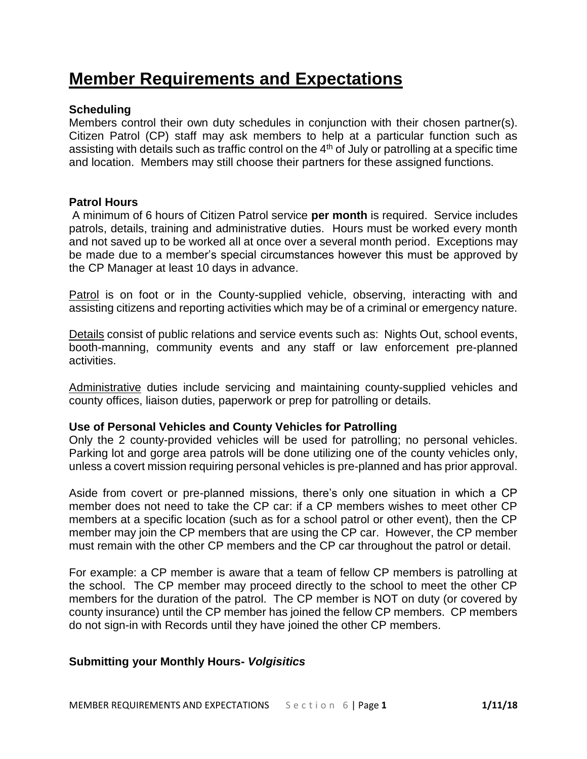# **Member Requirements and Expectations**

# **Scheduling**

Members control their own duty schedules in conjunction with their chosen partner(s). Citizen Patrol (CP) staff may ask members to help at a particular function such as assisting with details such as traffic control on the 4<sup>th</sup> of July or patrolling at a specific time and location. Members may still choose their partners for these assigned functions.

## **Patrol Hours**

A minimum of 6 hours of Citizen Patrol service **per month** is required. Service includes patrols, details, training and administrative duties. Hours must be worked every month and not saved up to be worked all at once over a several month period. Exceptions may be made due to a member's special circumstances however this must be approved by the CP Manager at least 10 days in advance.

Patrol is on foot or in the County-supplied vehicle, observing, interacting with and assisting citizens and reporting activities which may be of a criminal or emergency nature.

Details consist of public relations and service events such as: Nights Out, school events, booth-manning, community events and any staff or law enforcement pre-planned **activities** 

Administrative duties include servicing and maintaining county-supplied vehicles and county offices, liaison duties, paperwork or prep for patrolling or details.

## **Use of Personal Vehicles and County Vehicles for Patrolling**

Only the 2 county-provided vehicles will be used for patrolling; no personal vehicles. Parking lot and gorge area patrols will be done utilizing one of the county vehicles only, unless a covert mission requiring personal vehicles is pre-planned and has prior approval.

Aside from covert or pre-planned missions, there's only one situation in which a CP member does not need to take the CP car: if a CP members wishes to meet other CP members at a specific location (such as for a school patrol or other event), then the CP member may join the CP members that are using the CP car. However, the CP member must remain with the other CP members and the CP car throughout the patrol or detail.

For example: a CP member is aware that a team of fellow CP members is patrolling at the school. The CP member may proceed directly to the school to meet the other CP members for the duration of the patrol. The CP member is NOT on duty (or covered by county insurance) until the CP member has joined the fellow CP members. CP members do not sign-in with Records until they have joined the other CP members.

## **Submitting your Monthly Hours-** *Volgisitics*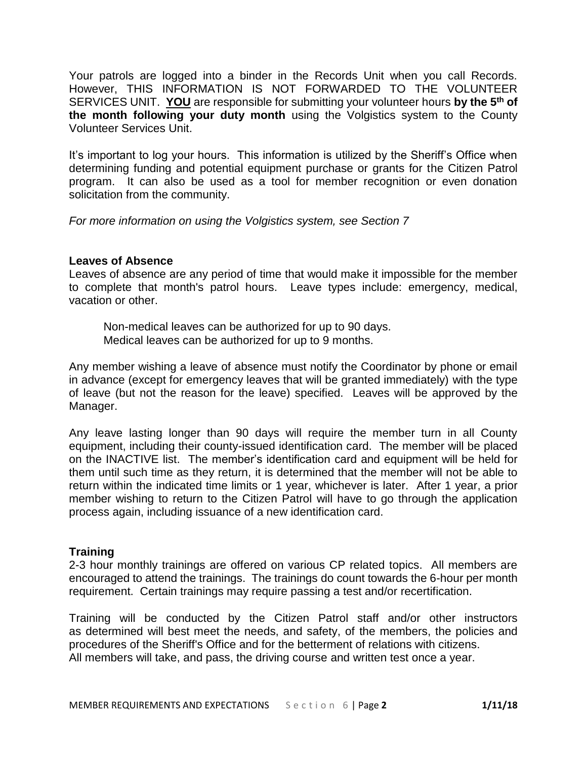Your patrols are logged into a binder in the Records Unit when you call Records. However, THIS INFORMATION IS NOT FORWARDED TO THE VOLUNTEER SERVICES UNIT. **YOU** are responsible for submitting your volunteer hours **by the 5th of the month following your duty month** using the Volgistics system to the County Volunteer Services Unit.

It's important to log your hours. This information is utilized by the Sheriff's Office when determining funding and potential equipment purchase or grants for the Citizen Patrol program. It can also be used as a tool for member recognition or even donation solicitation from the community.

*For more information on using the Volgistics system, see Section 7*

# **Leaves of Absence**

Leaves of absence are any period of time that would make it impossible for the member to complete that month's patrol hours. Leave types include: emergency, medical, vacation or other.

Non-medical leaves can be authorized for up to 90 days. Medical leaves can be authorized for up to 9 months.

Any member wishing a leave of absence must notify the Coordinator by phone or email in advance (except for emergency leaves that will be granted immediately) with the type of leave (but not the reason for the leave) specified. Leaves will be approved by the Manager.

Any leave lasting longer than 90 days will require the member turn in all County equipment, including their county-issued identification card. The member will be placed on the INACTIVE list. The member's identification card and equipment will be held for them until such time as they return, it is determined that the member will not be able to return within the indicated time limits or 1 year, whichever is later. After 1 year, a prior member wishing to return to the Citizen Patrol will have to go through the application process again, including issuance of a new identification card.

# **Training**

2-3 hour monthly trainings are offered on various CP related topics. All members are encouraged to attend the trainings. The trainings do count towards the 6-hour per month requirement. Certain trainings may require passing a test and/or recertification.

Training will be conducted by the Citizen Patrol staff and/or other instructors as determined will best meet the needs, and safety, of the members, the policies and procedures of the Sheriff's Office and for the betterment of relations with citizens. All members will take, and pass, the driving course and written test once a year.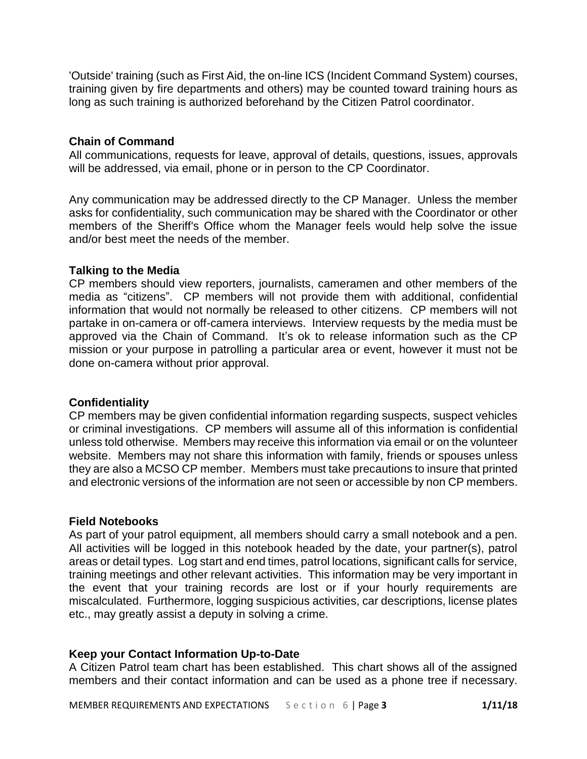'Outside' training (such as First Aid, the on-line ICS (Incident Command System) courses, training given by fire departments and others) may be counted toward training hours as long as such training is authorized beforehand by the Citizen Patrol coordinator.

# **Chain of Command**

All communications, requests for leave, approval of details, questions, issues, approvals will be addressed, via email, phone or in person to the CP Coordinator.

Any communication may be addressed directly to the CP Manager. Unless the member asks for confidentiality, such communication may be shared with the Coordinator or other members of the Sheriff's Office whom the Manager feels would help solve the issue and/or best meet the needs of the member.

## **Talking to the Media**

CP members should view reporters, journalists, cameramen and other members of the media as "citizens". CP members will not provide them with additional, confidential information that would not normally be released to other citizens. CP members will not partake in on-camera or off-camera interviews. Interview requests by the media must be approved via the Chain of Command. It's ok to release information such as the CP mission or your purpose in patrolling a particular area or event, however it must not be done on-camera without prior approval.

## **Confidentiality**

CP members may be given confidential information regarding suspects, suspect vehicles or criminal investigations. CP members will assume all of this information is confidential unless told otherwise. Members may receive this information via email or on the volunteer website. Members may not share this information with family, friends or spouses unless they are also a MCSO CP member. Members must take precautions to insure that printed and electronic versions of the information are not seen or accessible by non CP members.

# **Field Notebooks**

As part of your patrol equipment, all members should carry a small notebook and a pen. All activities will be logged in this notebook headed by the date, your partner(s), patrol areas or detail types. Log start and end times, patrol locations, significant calls for service, training meetings and other relevant activities. This information may be very important in the event that your training records are lost or if your hourly requirements are miscalculated. Furthermore, logging suspicious activities, car descriptions, license plates etc., may greatly assist a deputy in solving a crime.

# **Keep your Contact Information Up-to-Date**

A Citizen Patrol team chart has been established. This chart shows all of the assigned members and their contact information and can be used as a phone tree if necessary.